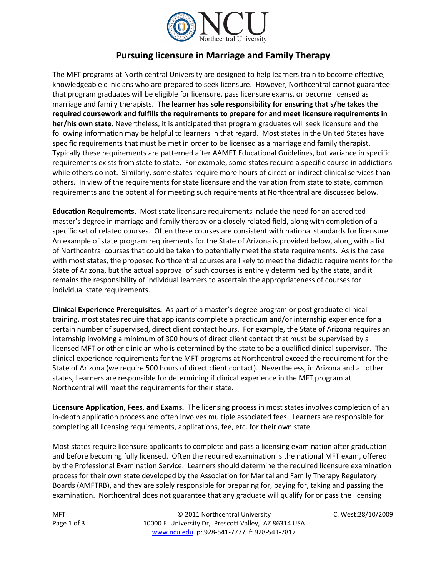

## **Pursuing licensure in Marriage and Family Therapy**

The MFT programs at North central University are designed to help learners train to become effective, knowledgeable clinicians who are prepared to seek licensure. However, Northcentral cannot guarantee that program graduates will be eligible for licensure, pass licensure exams, or become licensed as marriage and family therapists. **The learner has sole responsibility for ensuring that s/he takes the required coursework and fulfills the requirements to prepare for and meet licensure requirements in her/his own state.** Nevertheless, it is anticipated that program graduates will seek licensure and the following information may be helpful to learners in that regard. Most states in the United States have specific requirements that must be met in order to be licensed as a marriage and family therapist. Typically these requirements are patterned after AAMFT Educational Guidelines, but variance in specific requirements exists from state to state. For example, some states require a specific course in addictions while others do not. Similarly, some states require more hours of direct or indirect clinical services than others. In view of the requirements for state licensure and the variation from state to state, common requirements and the potential for meeting such requirements at Northcentral are discussed below.

**Education Requirements.** Most state licensure requirements include the need for an accredited master's degree in marriage and family therapy or a closely related field, along with completion of a specific set of related courses. Often these courses are consistent with national standards for licensure. An example of state program requirements for the State of Arizona is provided below, along with a list of Northcentral courses that could be taken to potentially meet the state requirements. As is the case with most states, the proposed Northcentral courses are likely to meet the didactic requirements for the State of Arizona, but the actual approval of such courses is entirely determined by the state, and it remains the responsibility of individual learners to ascertain the appropriateness of courses for individual state requirements.

**Clinical Experience Prerequisites.** As part of a master's degree program or post graduate clinical training, most states require that applicants complete a practicum and/or internship experience for a certain number of supervised, direct client contact hours. For example, the State of Arizona requires an internship involving a minimum of 300 hours of direct client contact that must be supervised by a licensed MFT or other clinician who is determined by the state to be a qualified clinical supervisor. The clinical experience requirements for the MFT programs at Northcentral exceed the requirement for the State of Arizona (we require 500 hours of direct client contact). Nevertheless, in Arizona and all other states, Learners are responsible for determining if clinical experience in the MFT program at Northcentral will meet the requirements for their state.

**Licensure Application, Fees, and Exams.** The licensing process in most states involves completion of an in-depth application process and often involves multiple associated fees. Learners are responsible for completing all licensing requirements, applications, fee, etc. for their own state.

Most states require licensure applicants to complete and pass a licensing examination after graduation and before becoming fully licensed. Often the required examination is the national MFT exam, offered by the Professional Examination Service. Learners should determine the required licensure examination process for their own state developed by the Association for Marital and Family Therapy Regulatory Boards (AMFTRB), and they are solely responsible for preparing for, paying for, taking and passing the examination. Northcentral does not guarantee that any graduate will qualify for or pass the licensing

MFT Page 1 of 3

© 2011 Northcentral University C. West:28/10/2009 10000 E. University Dr, Prescott Valley, AZ 86314 USA [www.ncu.edu](http://www.ncu.edu/) p: 928-541-7777 f: 928-541-7817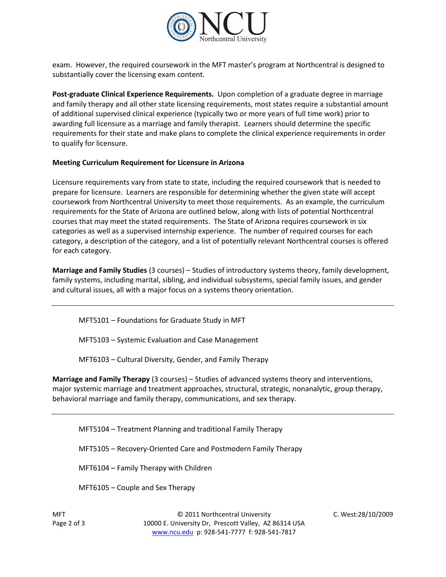

exam. However, the required coursework in the MFT master's program at Northcentral is designed to substantially cover the licensing exam content.

**Post-graduate Clinical Experience Requirements.** Upon completion of a graduate degree in marriage and family therapy and all other state licensing requirements, most states require a substantial amount of additional supervised clinical experience (typically two or more years of full time work) prior to awarding full licensure as a marriage and family therapist. Learners should determine the specific requirements for their state and make plans to complete the clinical experience requirements in order to qualify for licensure.

## **Meeting Curriculum Requirement for Licensure in Arizona**

Licensure requirements vary from state to state, including the required coursework that is needed to prepare for licensure. Learners are responsible for determining whether the given state will accept coursework from Northcentral University to meet those requirements. As an example, the curriculum requirements for the State of Arizona are outlined below, along with lists of potential Northcentral courses that may meet the stated requirements. The State of Arizona requires coursework in six categories as well as a supervised internship experience. The number of required courses for each category, a description of the category, and a list of potentially relevant Northcentral courses is offered for each category.

**Marriage and Family Studies** (3 courses) – Studies of introductory systems theory, family development, family systems, including marital, sibling, and individual subsystems, special family issues, and gender and cultural issues, all with a major focus on a systems theory orientation.

MFT5101 – Foundations for Graduate Study in MFT

MFT5103 – Systemic Evaluation and Case Management

MFT6103 – Cultural Diversity, Gender, and Family Therapy

**Marriage and Family Therapy** (3 courses) – Studies of advanced systems theory and interventions, major systemic marriage and treatment approaches, structural, strategic, nonanalytic, group therapy, behavioral marriage and family therapy, communications, and sex therapy.

MFT5104 – Treatment Planning and traditional Family Therapy

MFT5105 – Recovery-Oriented Care and Postmodern Family Therapy

MFT6104 – Family Therapy with Children

MFT6105 – Couple and Sex Therapy

© 2011 Northcentral University C. West:28/10/2009 10000 E. University Dr, Prescott Valley, AZ 86314 USA [www.ncu.edu](http://www.ncu.edu/) p: 928-541-7777 f: 928-541-7817